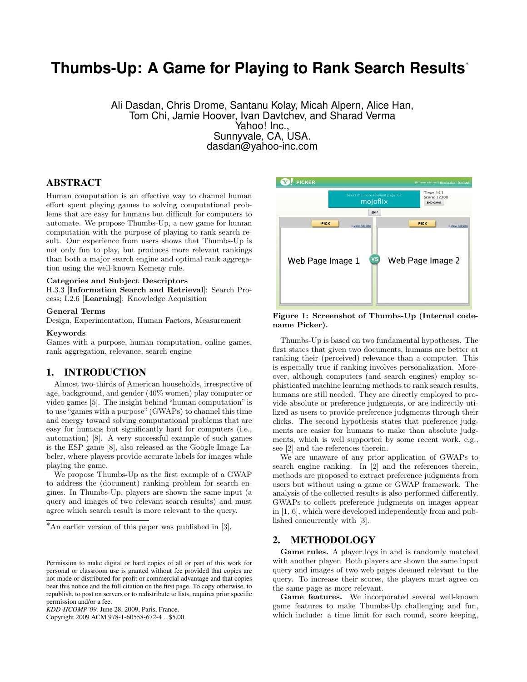# **Thumbs-Up: A Game for Playing to Rank Search Results**<sup>∗</sup>

Ali Dasdan, Chris Drome, Santanu Kolay, Micah Alpern, Alice Han, Tom Chi, Jamie Hoover, Ivan Davtchev, and Sharad Verma Yahoo! Inc., Sunnyvale, CA, USA. dasdan@yahoo-inc.com

# ABSTRACT

Human computation is an effective way to channel human effort spent playing games to solving computational problems that are easy for humans but difficult for computers to automate. We propose Thumbs-Up, a new game for human computation with the purpose of playing to rank search result. Our experience from users shows that Thumbs-Up is not only fun to play, but produces more relevant rankings than both a major search engine and optimal rank aggregation using the well-known Kemeny rule.

#### Categories and Subject Descriptors

H.3.3 [Information Search and Retrieval]: Search Process; I.2.6 [Learning]: Knowledge Acquisition

# General Terms

Design, Experimentation, Human Factors, Measurement

#### Keywords

Games with a purpose, human computation, online games, rank aggregation, relevance, search engine

### 1. INTRODUCTION

Almost two-thirds of American households, irrespective of age, background, and gender (40% women) play computer or video games [5]. The insight behind "human computation"is to use "games with a purpose" (GWAPs) to channel this time and energy toward solving computational problems that are easy for humans but significantly hard for computers (i.e., automation) [8]. A very successful example of such games is the ESP game [8], also released as the Google Image Labeler, where players provide accurate labels for images while playing the game.

We propose Thumbs-Up as the first example of a GWAP to address the (document) ranking problem for search engines. In Thumbs-Up, players are shown the same input (a query and images of two relevant search results) and must agree which search result is more relevant to the query.

Copyright 2009 ACM 978-1-60558-672-4 ...\$5.00.



Figure 1: Screenshot of Thumbs-Up (Internal codename Picker).

Thumbs-Up is based on two fundamental hypotheses. The first states that given two documents, humans are better at ranking their (perceived) relevance than a computer. This is especially true if ranking involves personalization. Moreover, although computers (and search engines) employ sophisticated machine learning methods to rank search results, humans are still needed. They are directly employed to provide absolute or preference judgments, or are indirectly utilized as users to provide preference judgments through their clicks. The second hypothesis states that preference judgments are easier for humans to make than absolute judgments, which is well supported by some recent work, e.g., see [2] and the references therein.

We are unaware of any prior application of GWAPs to search engine ranking. In [2] and the references therein, methods are proposed to extract preference judgments from users but without using a game or GWAP framework. The analysis of the collected results is also performed differently. GWAPs to collect preference judgments on images appear in [1, 6], which were developed independently from and published concurrently with [3].

# 2. METHODOLOGY

Game rules. A player logs in and is randomly matched with another player. Both players are shown the same input query and images of two web pages deemed relevant to the query. To increase their scores, the players must agree on the same page as more relevant.

Game features. We incorporated several well-known game features to make Thumbs-Up challenging and fun, which include: a time limit for each round, score keeping,

<sup>∗</sup>An earlier version of this paper was published in [3].

Permission to make digital or hard copies of all or part of this work for personal or classroom use is granted without fee provided that copies are not made or distributed for profit or commercial advantage and that copies bear this notice and the full citation on the first page. To copy otherwise, to republish, to post on servers or to redistribute to lists, requires prior specific permission and/or a fee.

*KDD-HCOMP'09,* June 28, 2009, Paris, France.